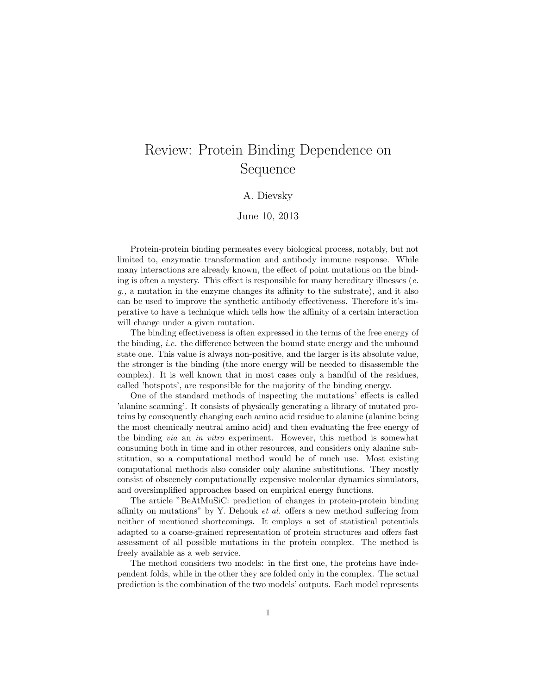## Review: Protein Binding Dependence on Sequence

## A. Dievsky

## June 10, 2013

Protein-protein binding permeates every biological process, notably, but not limited to, enzymatic transformation and antibody immune response. While many interactions are already known, the effect of point mutations on the binding is often a mystery. This effect is responsible for many hereditary illnesses  $(e.$ g., a mutation in the enzyme changes its affinity to the substrate), and it also can be used to improve the synthetic antibody effectiveness. Therefore it's imperative to have a technique which tells how the affinity of a certain interaction will change under a given mutation.

The binding effectiveness is often expressed in the terms of the free energy of the binding, i.e. the difference between the bound state energy and the unbound state one. This value is always non-positive, and the larger is its absolute value, the stronger is the binding (the more energy will be needed to disassemble the complex). It is well known that in most cases only a handful of the residues, called 'hotspots', are responsible for the majority of the binding energy.

One of the standard methods of inspecting the mutations' effects is called 'alanine scanning'. It consists of physically generating a library of mutated proteins by consequently changing each amino acid residue to alanine (alanine being the most chemically neutral amino acid) and then evaluating the free energy of the binding via an in vitro experiment. However, this method is somewhat consuming both in time and in other resources, and considers only alanine substitution, so a computational method would be of much use. Most existing computational methods also consider only alanine substitutions. They mostly consist of obscenely computationally expensive molecular dynamics simulators, and oversimplified approaches based on empirical energy functions.

The article "BeAtMuSiC: prediction of changes in protein-protein binding affinity on mutations" by Y. Dehouk et al. offers a new method suffering from neither of mentioned shortcomings. It employs a set of statistical potentials adapted to a coarse-grained representation of protein structures and offers fast assessment of all possible mutations in the protein complex. The method is freely available as a web service.

The method considers two models: in the first one, the proteins have independent folds, while in the other they are folded only in the complex. The actual prediction is the combination of the two models' outputs. Each model represents